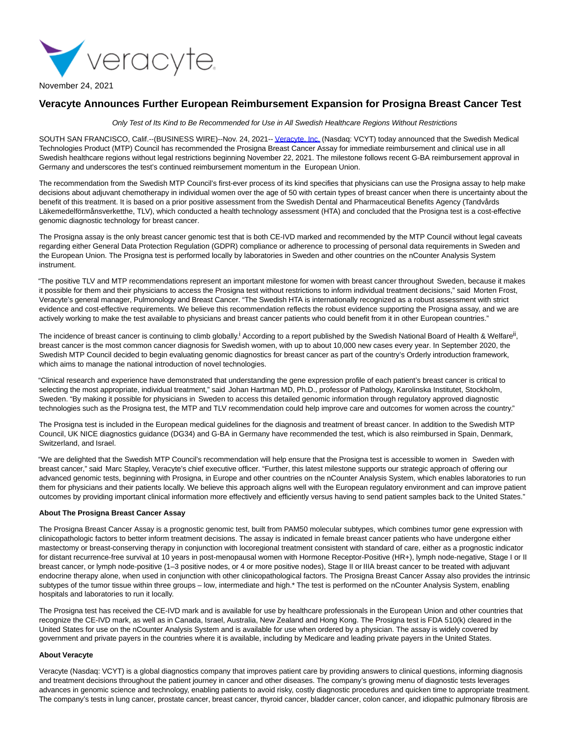

November 24, 2021

## **Veracyte Announces Further European Reimbursement Expansion for Prosigna Breast Cancer Test**

Only Test of Its Kind to Be Recommended for Use in All Swedish Healthcare Regions Without Restrictions

SOUTH SAN FRANCISCO, Calif.--(BUSINESS WIRE)--Nov. 24, 2021-[- Veracyte, Inc. \(](https://cts.businesswire.com/ct/CT?id=smartlink&url=http%3A%2F%2Fwww.veracyte.com%2F&esheet=52539310&newsitemid=20211124005892&lan=en-US&anchor=Veracyte%2C+Inc.&index=1&md5=83614bf4773cf5568397406b8dd1eef5)Nasdaq: VCYT) today announced that the Swedish Medical Technologies Product (MTP) Council has recommended the Prosigna Breast Cancer Assay for immediate reimbursement and clinical use in all Swedish healthcare regions without legal restrictions beginning November 22, 2021. The milestone follows recent G-BA reimbursement approval in Germany and underscores the test's continued reimbursement momentum in the European Union.

The recommendation from the Swedish MTP Council's first-ever process of its kind specifies that physicians can use the Prosigna assay to help make decisions about adjuvant chemotherapy in individual women over the age of 50 with certain types of breast cancer when there is uncertainty about the benefit of this treatment. It is based on a prior positive assessment from the Swedish Dental and Pharmaceutical Benefits Agency (Tandvårds Läkemedelförmånsverketthe, TLV), which conducted a health technology assessment (HTA) and concluded that the Prosigna test is a cost-effective genomic diagnostic technology for breast cancer.

The Prosigna assay is the only breast cancer genomic test that is both CE-IVD marked and recommended by the MTP Council without legal caveats regarding either General Data Protection Regulation (GDPR) compliance or adherence to processing of personal data requirements in Sweden and the European Union. The Prosigna test is performed locally by laboratories in Sweden and other countries on the nCounter Analysis System instrument.

"The positive TLV and MTP recommendations represent an important milestone for women with breast cancer throughout Sweden, because it makes it possible for them and their physicians to access the Prosigna test without restrictions to inform individual treatment decisions," said Morten Frost, Veracyte's general manager, Pulmonology and Breast Cancer. "The Swedish HTA is internationally recognized as a robust assessment with strict evidence and cost-effective requirements. We believe this recommendation reflects the robust evidence supporting the Prosigna assay, and we are actively working to make the test available to physicians and breast cancer patients who could benefit from it in other European countries."

The incidence of breast cancer is continuing to climb globally.<sup>i</sup> According to a report published by the Swedish National Board of Health & Welfare<sup>ii</sup>, breast cancer is the most common cancer diagnosis for Swedish women, with up to about 10,000 new cases every year. In September 2020, the Swedish MTP Council decided to begin evaluating genomic diagnostics for breast cancer as part of the country's Orderly introduction framework, which aims to manage the national introduction of novel technologies.

"Clinical research and experience have demonstrated that understanding the gene expression profile of each patient's breast cancer is critical to selecting the most appropriate, individual treatment," said Johan Hartman MD, Ph.D., professor of Pathology, Karolinska Institutet, Stockholm, Sweden. "By making it possible for physicians in Sweden to access this detailed genomic information through regulatory approved diagnostic technologies such as the Prosigna test, the MTP and TLV recommendation could help improve care and outcomes for women across the country."

The Prosigna test is included in the European medical guidelines for the diagnosis and treatment of breast cancer. In addition to the Swedish MTP Council, UK NICE diagnostics guidance (DG34) and G-BA in Germany have recommended the test, which is also reimbursed in Spain, Denmark, Switzerland, and Israel.

"We are delighted that the Swedish MTP Council's recommendation will help ensure that the Prosigna test is accessible to women in Sweden with breast cancer," said Marc Stapley, Veracyte's chief executive officer. "Further, this latest milestone supports our strategic approach of offering our advanced genomic tests, beginning with Prosigna, in Europe and other countries on the nCounter Analysis System, which enables laboratories to run them for physicians and their patients locally. We believe this approach aligns well with the European regulatory environment and can improve patient outcomes by providing important clinical information more effectively and efficiently versus having to send patient samples back to the United States."

## **About The Prosigna Breast Cancer Assay**

The Prosigna Breast Cancer Assay is a prognostic genomic test, built from PAM50 molecular subtypes, which combines tumor gene expression with clinicopathologic factors to better inform treatment decisions. The assay is indicated in female breast cancer patients who have undergone either mastectomy or breast-conserving therapy in conjunction with locoregional treatment consistent with standard of care, either as a prognostic indicator for distant recurrence-free survival at 10 years in post-menopausal women with Hormone Receptor-Positive (HR+), lymph node-negative, Stage I or II breast cancer, or lymph node-positive (1–3 positive nodes, or 4 or more positive nodes), Stage II or IIIA breast cancer to be treated with adjuvant endocrine therapy alone, when used in conjunction with other clinicopathological factors. The Prosigna Breast Cancer Assay also provides the intrinsic subtypes of the tumor tissue within three groups – low, intermediate and high.\* The test is performed on the nCounter Analysis System, enabling hospitals and laboratories to run it locally.

The Prosigna test has received the CE-IVD mark and is available for use by healthcare professionals in the European Union and other countries that recognize the CE-IVD mark, as well as in Canada, Israel, Australia, New Zealand and Hong Kong. The Prosigna test is FDA 510(k) cleared in the United States for use on the nCounter Analysis System and is available for use when ordered by a physician. The assay is widely covered by government and private payers in the countries where it is available, including by Medicare and leading private payers in the United States.

## **About Veracyte**

Veracyte (Nasdaq: VCYT) is a global diagnostics company that improves patient care by providing answers to clinical questions, informing diagnosis and treatment decisions throughout the patient journey in cancer and other diseases. The company's growing menu of diagnostic tests leverages advances in genomic science and technology, enabling patients to avoid risky, costly diagnostic procedures and quicken time to appropriate treatment. The company's tests in lung cancer, prostate cancer, breast cancer, thyroid cancer, bladder cancer, colon cancer, and idiopathic pulmonary fibrosis are